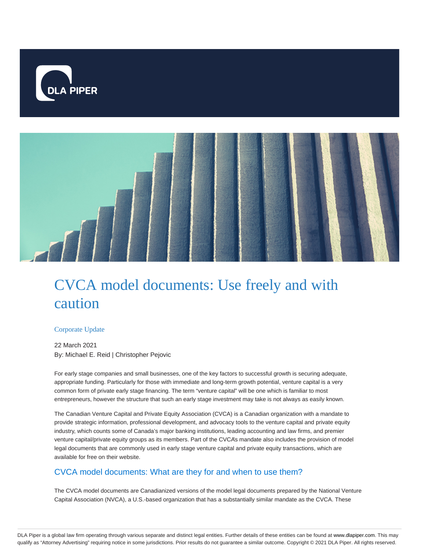



# CVCA model documents: Use freely and with caution

# Corporate Update

22 March 2021 By: Michael E. Reid | Christopher Pejovic

For early stage companies and small businesses, one of the key factors to successful growth is securing adequate, appropriate funding. Particularly for those with immediate and long-term growth potential, venture capital is a very common form of private early stage financing. The term "venture capital" will be one which is familiar to most entrepreneurs, however the structure that such an early stage investment may take is not always as easily known.

The Canadian Venture Capital and Private Equity Association (CVCA) is a Canadian organization with a mandate to provide strategic information, professional development, and advocacy tools to the venture capital and private equity industry, which counts some of Canada's major banking institutions, leading accounting and law firms, and premier venture capital/private equity groups as its members. Part of the CVCA's mandate also includes the provision of model legal documents that are commonly used in early stage venture capital and private equity transactions, which are available for free on their website.

# CVCA model documents: What are they for and when to use them?

The CVCA model documents are Canadianized versions of the model legal documents prepared by the National Venture Capital Association (NVCA), a U.S.-based organization that has a substantially similar mandate as the CVCA. These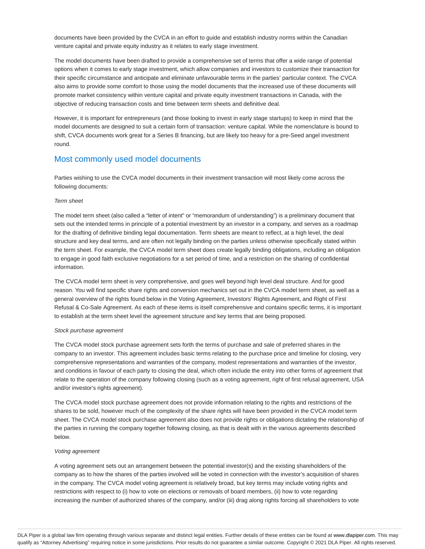documents have been provided by the CVCA in an effort to guide and establish industry norms within the Canadian venture capital and private equity industry as it relates to early stage investment.

The model documents have been drafted to provide a comprehensive set of terms that offer a wide range of potential options when it comes to early stage investment, which allow companies and investors to customize their transaction for their specific circumstance and anticipate and eliminate unfavourable terms in the parties' particular context. The CVCA also aims to provide some comfort to those using the model documents that the increased use of these documents will promote market consistency within venture capital and private equity investment transactions in Canada, with the objective of reducing transaction costs and time between term sheets and definitive deal.

However, it is important for entrepreneurs (and those looking to invest in early stage startups) to keep in mind that the model documents are designed to suit a certain form of transaction: venture capital. While the nomenclature is bound to shift, CVCA documents work great for a Series B financing, but are likely too heavy for a pre-Seed angel investment round.

# Most commonly used model documents

Parties wishing to use the CVCA model documents in their investment transaction will most likely come across the following documents:

## Term sheet

The model term sheet (also called a "letter of intent" or "memorandum of understanding") is a preliminary document that sets out the intended terms in principle of a potential investment by an investor in a company, and serves as a roadmap for the drafting of definitive binding legal documentation. Term sheets are meant to reflect, at a high level, the deal structure and key deal terms, and are often not legally binding on the parties unless otherwise specifically stated within the term sheet. For example, the CVCA model term sheet does create legally binding obligations, including an obligation to engage in good faith exclusive negotiations for a set period of time, and a restriction on the sharing of confidential information.

The CVCA model term sheet is very comprehensive, and goes well beyond high level deal structure. And for good reason. You will find specific share rights and conversion mechanics set out in the CVCA model term sheet, as well as a general overview of the rights found below in the Voting Agreement, Investors' Rights Agreement, and Right of First Refusal & Co-Sale Agreement. As each of these items is itself comprehensive and contains specific terms, it is important to establish at the term sheet level the agreement structure and key terms that are being proposed.

## Stock purchase agreement

The CVCA model stock purchase agreement sets forth the terms of purchase and sale of preferred shares in the company to an investor. This agreement includes basic terms relating to the purchase price and timeline for closing, very comprehensive representations and warranties of the company, modest representations and warranties of the investor, and conditions in favour of each party to closing the deal, which often include the entry into other forms of agreement that relate to the operation of the company following closing (such as a voting agreement, right of first refusal agreement, USA and/or investor's rights agreement).

The CVCA model stock purchase agreement does not provide information relating to the rights and restrictions of the shares to be sold, however much of the complexity of the share rights will have been provided in the CVCA model term sheet. The CVCA model stock purchase agreement also does not provide rights or obligations dictating the relationship of the parties in running the company together following closing, as that is dealt with in the various agreements described below.

## Voting agreement

A voting agreement sets out an arrangement between the potential investor(s) and the existing shareholders of the company as to how the shares of the parties involved will be voted in connection with the investor's acquisition of shares in the company. The CVCA model voting agreement is relatively broad, but key terms may include voting rights and restrictions with respect to (i) how to vote on elections or removals of board members, (ii) how to vote regarding increasing the number of authorized shares of the company, and/or (iii) drag along rights forcing all shareholders to vote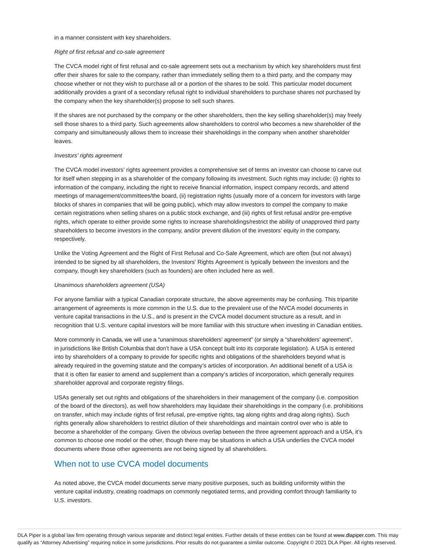#### in a manner consistent with key shareholders.

### Right of first refusal and co-sale agreement

The CVCA model right of first refusal and co-sale agreement sets out a mechanism by which key shareholders must first offer their shares for sale to the company, rather than immediately selling them to a third party, and the company may choose whether or not they wish to purchase all or a portion of the shares to be sold. This particular model document additionally provides a grant of a secondary refusal right to individual shareholders to purchase shares not purchased by the company when the key shareholder(s) propose to sell such shares.

If the shares are not purchased by the company or the other shareholders, then the key selling shareholder(s) may freely sell those shares to a third party. Such agreements allow shareholders to control who becomes a new shareholder of the company and simultaneously allows them to increase their shareholdings in the company when another shareholder leaves.

#### Investors' rights agreement

The CVCA model investors' rights agreement provides a comprehensive set of terms an investor can choose to carve out for itself when stepping in as a shareholder of the company following its investment. Such rights may include: (i) rights to information of the company, including the right to receive financial information, inspect company records, and attend meetings of management/committees/the board, (ii) registration rights (usually more of a concern for investors with large blocks of shares in companies that will be going public), which may allow investors to compel the company to make certain registrations when selling shares on a public stock exchange, and (iii) rights of first refusal and/or pre-emptive rights, which operate to either provide some rights to increase shareholdings/restrict the ability of unapproved third party shareholders to become investors in the company, and/or prevent dilution of the investors' equity in the company, respectively.

Unlike the Voting Agreement and the Right of First Refusal and Co-Sale Agreement, which are often (but not always) intended to be signed by all shareholders, the Investors' Rights Agreement is typically between the investors and the company, though key shareholders (such as founders) are often included here as well.

## Unanimous shareholders agreement (USA)

For anyone familiar with a typical Canadian corporate structure, the above agreements may be confusing. This tripartite arrangement of agreements is more common in the U.S. due to the prevalent use of the NVCA model documents in venture capital transactions in the U.S., and is present in the CVCA model document structure as a result, and in recognition that U.S. venture capital investors will be more familiar with this structure when investing in Canadian entities.

More commonly in Canada, we will use a "unanimous shareholders' agreement" (or simply a "shareholders' agreement", in jurisdictions like British Columbia that don't have a USA concept built into its corporate legislation). A USA is entered into by shareholders of a company to provide for specific rights and obligations of the shareholders beyond what is already required in the governing statute and the company's articles of incorporation. An additional benefit of a USA is that it is often far easier to amend and supplement than a company's articles of incorporation, which generally requires shareholder approval and corporate registry filings.

USAs generally set out rights and obligations of the shareholders in their management of the company (i.e. composition of the board of the directors), as well how shareholders may liquidate their shareholdings in the company (i.e. prohibitions on transfer, which may include rights of first refusal, pre-emptive rights, tag along rights and drag along rights). Such rights generally allow shareholders to restrict dilution of their shareholdings and maintain control over who is able to become a shareholder of the company. Given the obvious overlap between the three agreement approach and a USA, it's common to choose one model or the other, though there may be situations in which a USA underlies the CVCA model documents where those other agreements are not being signed by all shareholders.

# When not to use CVCA model documents

As noted above, the CVCA model documents serve many positive purposes, such as building uniformity within the venture capital industry, creating roadmaps on commonly negotiated terms, and providing comfort through familiarity to U.S. investors.